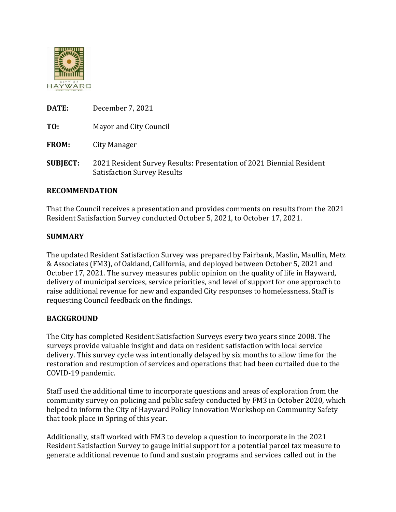

**TO:** Mayor and City Council

**FROM:** City Manager

**SUBJECT:** 2021 Resident Survey Results: Presentation of 2021 Biennial Resident Satisfaction Survey Results

# **RECOMMENDATION**

That the Council receives a presentation and provides comments on results from the 2021 Resident Satisfaction Survey conducted October 5, 2021, to October 17, 2021.

### **SUMMARY**

The updated Resident Satisfaction Survey was prepared by Fairbank, Maslin, Maullin, Metz & Associates (FM3), of Oakland, California, and deployed between October 5, 2021 and October 17, 2021. The survey measures public opinion on the quality of life in Hayward, delivery of municipal services, service priorities, and level of support for one approach to raise additional revenue for new and expanded City responses to homelessness. Staff is requesting Council feedback on the findings.

# **BACKGROUND**

The City has completed Resident Satisfaction Surveys every two years since 2008. The surveys provide valuable insight and data on resident satisfaction with local service delivery. This survey cycle was intentionally delayed by six months to allow time for the restoration and resumption of services and operations that had been curtailed due to the COVID-19 pandemic.

Staff used the additional time to incorporate questions and areas of exploration from the community survey on policing and public safety conducted by FM3 in October 2020, which helped to inform the City of Hayward Policy Innovation Workshop on Community Safety that took place in Spring of this year.

Additionally, staff worked with FM3 to develop a question to incorporate in the 2021 Resident Satisfaction Survey to gauge initial support for a potential parcel tax measure to generate additional revenue to fund and sustain programs and services called out in the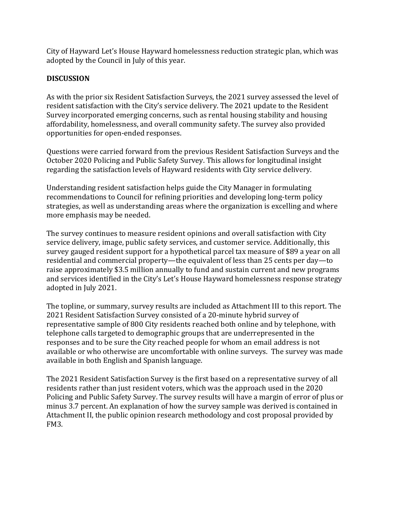City of Hayward Let's House Hayward homelessness reduction strategic plan, which was adopted by the Council in July of this year.

## **DISCUSSION**

As with the prior six Resident Satisfaction Surveys, the 2021 survey assessed the level of resident satisfaction with the City's service delivery. The 2021 update to the Resident Survey incorporated emerging concerns, such as rental housing stability and housing affordability, homelessness, and overall community safety. The survey also provided opportunities for open-ended responses.

Questions were carried forward from the previous Resident Satisfaction Surveys and the October 2020 Policing and Public Safety Survey. This allows for longitudinal insight regarding the satisfaction levels of Hayward residents with City service delivery.

Understanding resident satisfaction helps guide the City Manager in formulating recommendations to Council for refining priorities and developing long-term policy strategies, as well as understanding areas where the organization is excelling and where more emphasis may be needed.

The survey continues to measure resident opinions and overall satisfaction with City service delivery, image, public safety services, and customer service. Additionally, this survey gauged resident support for a hypothetical parcel tax measure of \$89 a year on all residential and commercial property—the equivalent of less than 25 cents per day—to raise approximately \$3.5 million annually to fund and sustain current and new programs and services identified in the City's Let's House Hayward homelessness response strategy adopted in July 2021.

The topline, or summary, survey results are included as Attachment III to this report. The 2021 Resident Satisfaction Survey consisted of a 20-minute hybrid survey of representative sample of 800 City residents reached both online and by telephone, with telephone calls targeted to demographic groups that are underrepresented in the responses and to be sure the City reached people for whom an email address is not available or who otherwise are uncomfortable with online surveys. The survey was made available in both English and Spanish language.

The 2021 Resident Satisfaction Survey is the first based on a representative survey of all residents rather than just resident voters, which was the approach used in the 2020 Policing and Public Safety Survey. The survey results will have a margin of error of plus or minus 3.7 percent. An explanation of how the survey sample was derived is contained in Attachment II, the public opinion research methodology and cost proposal provided by FM3.